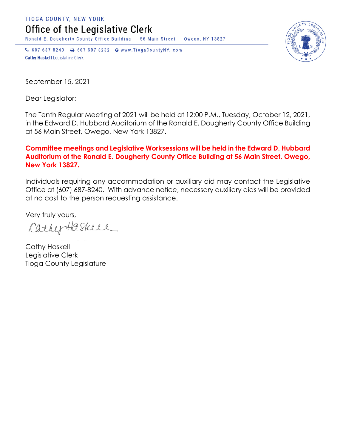TIOGA COUNTY, NEW YORK Office of the Legislative Clerk

Ronald E. Dougherty County Office Building 56 Main Street Owego, NY 13827

↓ 607 687 8240 → 607 687 8232 → www.TiogaCountyNY.com **Cathy Haskell Legislative Clerk** 

September 15, 2021

Dear Legislator:

The Tenth Regular Meeting of 2021 will be held at 12:00 P.M., Tuesday, October 12, 2021, in the Edward D. Hubbard Auditorium of the Ronald E. Dougherty County Office Building at 56 Main Street, Owego, New York 13827.

## **Committee meetings and Legislative Worksessions will be held in the Edward D. Hubbard Auditorium of the Ronald E. Dougherty County Office Building at 56 Main Street, Owego, New York 13827.**

Individuals requiring any accommodation or auxiliary aid may contact the Legislative Office at (607) 687-8240. With advance notice, necessary auxiliary aids will be provided at no cost to the person requesting assistance.

Very truly yours,

CathyHaskeel

Cathy Haskell Legislative Clerk Tioga County Legislature